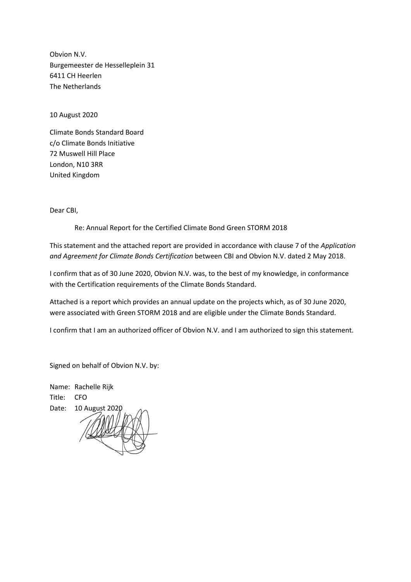Obvion N.V. Burgemeester de Hesselleplein 31 6411 CH Heerlen The Netherlands

10 August 2020

Climate Bonds Standard Board c/o Climate Bonds Initiative 72 Muswell Hill Place London, N10 3RR United Kingdom

Dear CBI,

Re: Annual Report for the Certified Climate Bond Green STORM 2018

This statement and the attached report are provided in accordance with clause 7 of the *Application and Agreement for Climate Bonds Certification* between CBI and Obvion N.V. dated 2 May 2018.

I confirm that as of 30 June 2020, Obvion N.V. was, to the best of my knowledge, in conformance with the Certification requirements of the Climate Bonds Standard.

Attached is a report which provides an annual update on the projects which, as of 30 June 2020, were associated with Green STORM 2018 and are eligible under the Climate Bonds Standard.

I confirm that I am an authorized officer of Obvion N.V. and I am authorized to sign this statement.

Signed on behalf of Obvion N.V. by:

Name: Rachelle Rijk Title: CFO Date: 10 August 2020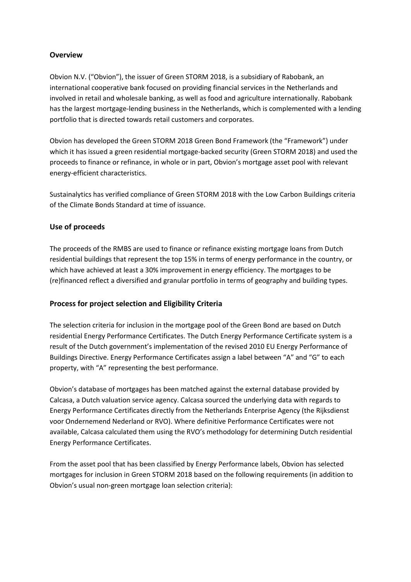## **Overview**

Obvion N.V. ("Obvion"), the issuer of Green STORM 2018, is a subsidiary of Rabobank, an international cooperative bank focused on providing financial services in the Netherlands and involved in retail and wholesale banking, as well as food and agriculture internationally. Rabobank has the largest mortgage-lending business in the Netherlands, which is complemented with a lending portfolio that is directed towards retail customers and corporates.

Obvion has developed the Green STORM 2018 Green Bond Framework (the "Framework") under which it has issued a green residential mortgage-backed security (Green STORM 2018) and used the proceeds to finance or refinance, in whole or in part, Obvion's mortgage asset pool with relevant energy-efficient characteristics.

Sustainalytics has verified compliance of Green STORM 2018 with the Low Carbon Buildings criteria of the Climate Bonds Standard at time of issuance.

## **Use of proceeds**

The proceeds of the RMBS are used to finance or refinance existing mortgage loans from Dutch residential buildings that represent the top 15% in terms of energy performance in the country, or which have achieved at least a 30% improvement in energy efficiency. The mortgages to be (re)financed reflect a diversified and granular portfolio in terms of geography and building types.

## **Process for project selection and Eligibility Criteria**

The selection criteria for inclusion in the mortgage pool of the Green Bond are based on Dutch residential Energy Performance Certificates. The Dutch Energy Performance Certificate system is a result of the Dutch government's implementation of the revised 2010 EU Energy Performance of Buildings Directive. Energy Performance Certificates assign a label between "A" and "G" to each property, with "A" representing the best performance.

Obvion's database of mortgages has been matched against the external database provided by Calcasa, a Dutch valuation service agency. Calcasa sourced the underlying data with regards to Energy Performance Certificates directly from the Netherlands Enterprise Agency (the Rijksdienst voor Ondernemend Nederland or RVO). Where definitive Performance Certificates were not available, Calcasa calculated them using the RVO's methodology for determining Dutch residential Energy Performance Certificates.

From the asset pool that has been classified by Energy Performance labels, Obvion has selected mortgages for inclusion in Green STORM 2018 based on the following requirements (in addition to Obvion's usual non-green mortgage loan selection criteria):